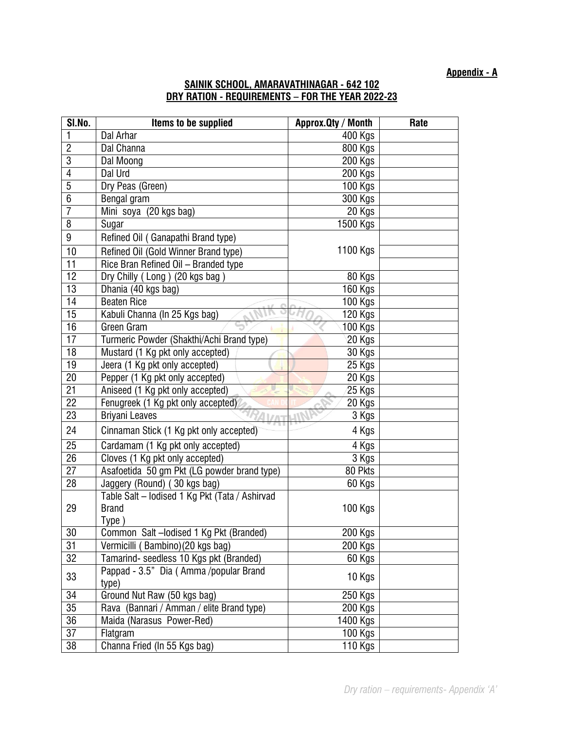**Appendix - A**

## **SAINIK SCHOOL, AMARAVATHINAGAR - 642 102 DRY RATION - REQUIREMENTS – FOR THE YEAR 2022-23**

| SI.No.          | Items to be supplied                            | Approx. Qty / Month | Rate |
|-----------------|-------------------------------------------------|---------------------|------|
| 1               | Dal Arhar                                       | 400 Kgs             |      |
| $\overline{2}$  | Dal Channa                                      | <b>800 Kgs</b>      |      |
| 3               | Dal Moong                                       | <b>200 Kgs</b>      |      |
| 4               | Dal Urd                                         | $200$ Kgs           |      |
| $\overline{5}$  | Dry Peas (Green)                                | 100 Kgs             |      |
| $\overline{6}$  | Bengal gram                                     | 300 Kgs             |      |
| 7               | Mini soya (20 kgs bag)                          | 20 Kgs              |      |
| $\overline{8}$  | Sugar                                           | 1500 Kgs            |      |
| 9               | Refined Oil (Ganapathi Brand type)              |                     |      |
| 10              | Refined Oil (Gold Winner Brand type)            | 1100 Kgs            |      |
| $\overline{11}$ | Rice Bran Refined Oil - Branded type            |                     |      |
| 12              | Dry Chilly (Long) (20 kgs bag)                  | 80 Kgs              |      |
| 13              | Dhania (40 kgs bag)                             | 160 Kgs             |      |
| 14              | <b>Beaten Rice</b>                              | <b>100 Kgs</b>      |      |
| 15              | Kabuli Channa (In 25 Kgs bag)                   | 120 Kgs             |      |
| 16              | Green Gram                                      | 100 Kgs             |      |
| $\overline{17}$ | Turmeric Powder (Shakthi/Achi Brand type)       | 20 Kgs              |      |
| $\overline{18}$ | Mustard (1 Kg pkt only accepted)                | 30 Kgs              |      |
| 19              | Jeera (1 Kg pkt only accepted)                  | 25 Kgs              |      |
| 20              | Pepper (1 Kg pkt only accepted)                 | 20 Kgs              |      |
| 21              | Aniseed (1 Kg pkt only accepted)                | 25 Kgs              |      |
| $\overline{22}$ | Fenugreek (1 Kg pkt only accepted)              | 20 Kgs              |      |
| 23              | <b>Briyani Leaves</b>                           | 3 Kgs               |      |
| 24              | Cinnaman Stick (1 Kg pkt only accepted)         | 4 Kgs               |      |
| $\overline{25}$ | Cardamam (1 Kg pkt only accepted)               | 4 Kgs               |      |
| $\overline{26}$ | Cloves (1 Kg pkt only accepted)                 | 3 Kgs               |      |
| 27              | Asafoetida 50 gm Pkt (LG powder brand type)     | 80 Pkts             |      |
| $\overline{28}$ | Jaggery (Round) (30 kgs bag)                    | 60 Kgs              |      |
|                 | Table Salt - lodised 1 Kg Pkt (Tata / Ashirvad  |                     |      |
| 29              | <b>Brand</b>                                    | <b>100 Kgs</b>      |      |
|                 | Type)                                           |                     |      |
| 30              | Common Salt-lodised 1 Kg Pkt (Branded)          | 200 Kgs             |      |
| 31              | Vermicilli (Bambino) (20 kgs bag)               | 200 Kgs             |      |
| 32              | Tamarind- seedless 10 Kgs pkt (Branded)         | 60 Kgs              |      |
| 33              | Pappad - 3.5" Dia (Amma /popular Brand<br>type) | 10 Kgs              |      |
| 34              | Ground Nut Raw (50 kgs bag)                     | 250 Kgs             |      |
| 35              | Rava (Bannari / Amman / elite Brand type)       | 200 Kgs             |      |
| 36              | Maida (Narasus Power-Red)                       | 1400 Kgs            |      |
| $\overline{37}$ | Flatgram                                        | 100 Kgs             |      |
| 38              | Channa Fried (In 55 Kgs bag)                    | 110 Kgs             |      |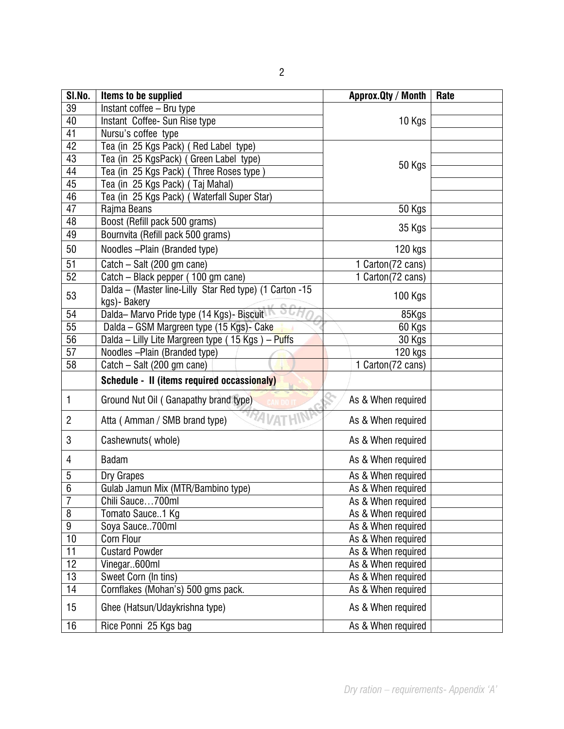| SI.No.          | Items to be supplied                                    | Approx. Qty / Month | Rate |
|-----------------|---------------------------------------------------------|---------------------|------|
| 39              | Instant coffee - Bru type                               |                     |      |
| 40              | Instant Coffee-Sun Rise type                            | 10 Kgs              |      |
| 41              | Nursu's coffee type                                     |                     |      |
| 42              | Tea (in 25 Kgs Pack) (Red Label type)                   |                     |      |
| 43              | Tea (in 25 KgsPack) (Green Label type)                  | 50 Kgs              |      |
| 44              | Tea (in 25 Kgs Pack) (Three Roses type)                 |                     |      |
| 45              | Tea (in 25 Kgs Pack) (Taj Mahal)                        |                     |      |
| 46              | Tea (in 25 Kgs Pack) (Waterfall Super Star)             |                     |      |
| 47              | Rajma Beans                                             | 50 Kgs              |      |
| 48              | Boost (Refill pack 500 grams)                           | 35 Kgs              |      |
| 49              | Bournvita (Refill pack 500 grams)                       |                     |      |
| 50              | Noodles - Plain (Branded type)                          | 120 kgs             |      |
| $\overline{51}$ | Catch - Salt (200 gm cane)                              | 1 Carton(72 cans)   |      |
| $\overline{52}$ | Catch – Black pepper (100 gm cane)                      | 1 Carton(72 cans)   |      |
| 53              | Dalda - (Master line-Lilly Star Red type) (1 Carton -15 | 100 Kgs             |      |
|                 | kgs)- Bakery                                            |                     |      |
| 54              | Dalda-Marvo Pride type (14 Kgs) - Biscuit               | 85Kgs               |      |
| 55              | Dalda - GSM Margreen type (15 Kgs)- Cake                | 60 Kgs              |      |
| $\overline{56}$ | Dalda - Lilly Lite Margreen type (15 Kgs) - Puffs       | 30 Kgs              |      |
| $\overline{57}$ | Noodles - Plain (Branded type)                          | 120 kgs             |      |
| $\overline{58}$ | Catch - Salt (200 gm cane)                              | 1 Carton(72 cans)   |      |
|                 | Schedule - II (items required occassionaly)             |                     |      |
| 1               | Ground Nut Oil (Ganapathy brand type)                   | As & When required  |      |
| $\overline{2}$  | Atta (Amman / SMB brand type)                           | As & When required  |      |
| 3               | Cashewnuts (whole)                                      | As & When required  |      |
| 4               | <b>Badam</b>                                            | As & When required  |      |
| 5               | Dry Grapes                                              | As & When required  |      |
| $\overline{6}$  | Gulab Jamun Mix (MTR/Bambino type)                      | As & When required  |      |
| $\overline{7}$  | Chili Sauce700ml                                        | As & When required  |      |
| $\overline{8}$  | Tomato Sauce1 Kg                                        | As & When required  |      |
| 9               | Soya Sauce700ml                                         | As & When required  |      |
| 10              | Corn Flour                                              | As & When required  |      |
| 11              | <b>Custard Powder</b>                                   | As & When required  |      |
| 12              | Vinegar600ml                                            | As & When required  |      |
| 13              | Sweet Corn (In tins)                                    | As & When required  |      |
| $\overline{14}$ | Cornflakes (Mohan's) 500 gms pack.                      | As & When required  |      |
| 15              | Ghee (Hatsun/Udaykrishna type)                          | As & When required  |      |
| 16              | Rice Ponni 25 Kgs bag                                   | As & When required  |      |